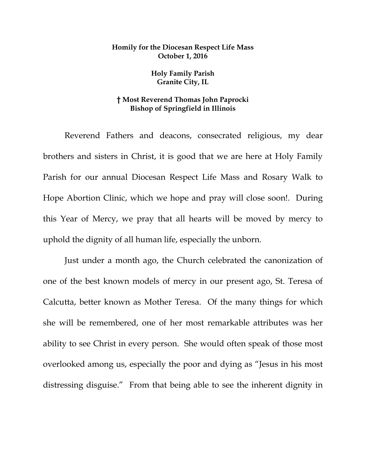## **Homily for the Diocesan Respect Life Mass October 1, 2016**

**Holy Family Parish Granite City, IL**

## **† Most Reverend Thomas John Paprocki Bishop of Springfield in Illinois**

Reverend Fathers and deacons, consecrated religious, my dear brothers and sisters in Christ, it is good that we are here at Holy Family Parish for our annual Diocesan Respect Life Mass and Rosary Walk to Hope Abortion Clinic, which we hope and pray will close soon!. During this Year of Mercy, we pray that all hearts will be moved by mercy to uphold the dignity of all human life, especially the unborn.

Just under a month ago, the Church celebrated the canonization of one of the best known models of mercy in our present ago, St. Teresa of Calcutta, better known as Mother Teresa. Of the many things for which she will be remembered, one of her most remarkable attributes was her ability to see Christ in every person. She would often speak of those most overlooked among us, especially the poor and dying as "Jesus in his most distressing disguise." From that being able to see the inherent dignity in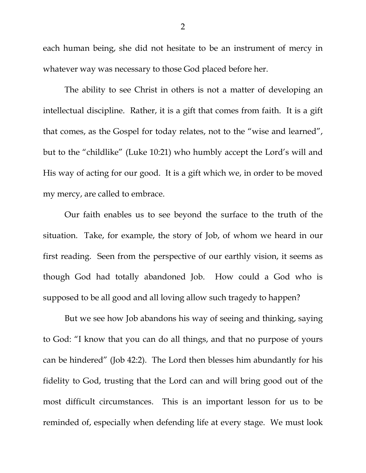each human being, she did not hesitate to be an instrument of mercy in whatever way was necessary to those God placed before her.

The ability to see Christ in others is not a matter of developing an intellectual discipline. Rather, it is a gift that comes from faith. It is a gift that comes, as the Gospel for today relates, not to the "wise and learned", but to the "childlike" (Luke 10:21) who humbly accept the Lord's will and His way of acting for our good. It is a gift which we, in order to be moved my mercy, are called to embrace.

Our faith enables us to see beyond the surface to the truth of the situation. Take, for example, the story of Job, of whom we heard in our first reading. Seen from the perspective of our earthly vision, it seems as though God had totally abandoned Job. How could a God who is supposed to be all good and all loving allow such tragedy to happen?

But we see how Job abandons his way of seeing and thinking, saying to God: "I know that you can do all things, and that no purpose of yours can be hindered" (Job 42:2). The Lord then blesses him abundantly for his fidelity to God, trusting that the Lord can and will bring good out of the most difficult circumstances. This is an important lesson for us to be reminded of, especially when defending life at every stage. We must look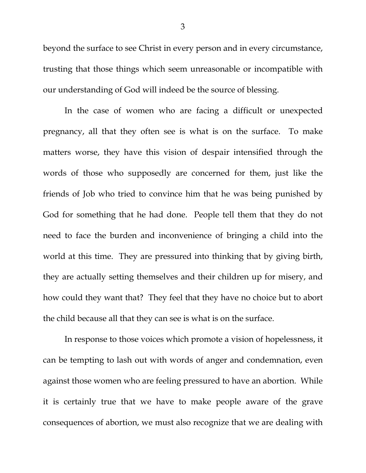beyond the surface to see Christ in every person and in every circumstance, trusting that those things which seem unreasonable or incompatible with our understanding of God will indeed be the source of blessing.

In the case of women who are facing a difficult or unexpected pregnancy, all that they often see is what is on the surface. To make matters worse, they have this vision of despair intensified through the words of those who supposedly are concerned for them, just like the friends of Job who tried to convince him that he was being punished by God for something that he had done. People tell them that they do not need to face the burden and inconvenience of bringing a child into the world at this time. They are pressured into thinking that by giving birth, they are actually setting themselves and their children up for misery, and how could they want that? They feel that they have no choice but to abort the child because all that they can see is what is on the surface.

In response to those voices which promote a vision of hopelessness, it can be tempting to lash out with words of anger and condemnation, even against those women who are feeling pressured to have an abortion. While it is certainly true that we have to make people aware of the grave consequences of abortion, we must also recognize that we are dealing with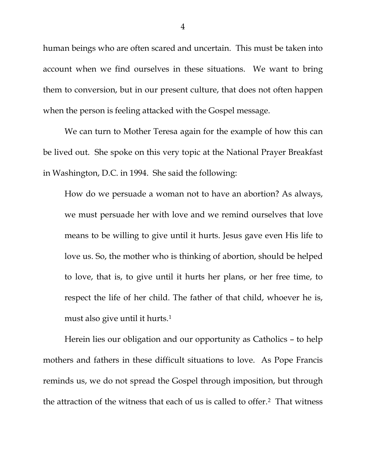human beings who are often scared and uncertain. This must be taken into account when we find ourselves in these situations. We want to bring them to conversion, but in our present culture, that does not often happen when the person is feeling attacked with the Gospel message.

We can turn to Mother Teresa again for the example of how this can be lived out. She spoke on this very topic at the National Prayer Breakfast in Washington, D.C. in 1994. She said the following:

How do we persuade a woman not to have an abortion? As always, we must persuade her with love and we remind ourselves that love means to be willing to give until it hurts. Jesus gave even His life to love us. So, the mother who is thinking of abortion, should be helped to love, that is, to give until it hurts her plans, or her free time, to respect the life of her child. The father of that child, whoever he is, must also give until it hurts.[1](#page-6-0)

Herein lies our obligation and our opportunity as Catholics – to help mothers and fathers in these difficult situations to love. As Pope Francis reminds us, we do not spread the Gospel through imposition, but through the attraction of the witness that each of us is called to offer.[2](#page-6-1) That witness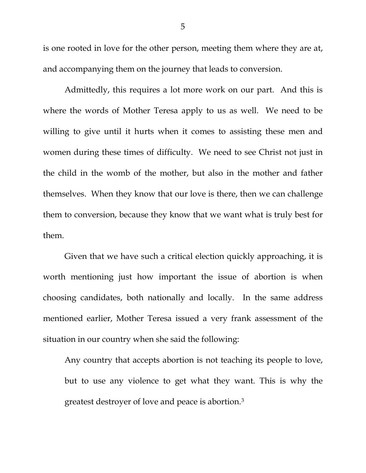is one rooted in love for the other person, meeting them where they are at, and accompanying them on the journey that leads to conversion.

Admittedly, this requires a lot more work on our part. And this is where the words of Mother Teresa apply to us as well. We need to be willing to give until it hurts when it comes to assisting these men and women during these times of difficulty. We need to see Christ not just in the child in the womb of the mother, but also in the mother and father themselves. When they know that our love is there, then we can challenge them to conversion, because they know that we want what is truly best for them.

Given that we have such a critical election quickly approaching, it is worth mentioning just how important the issue of abortion is when choosing candidates, both nationally and locally. In the same address mentioned earlier, Mother Teresa issued a very frank assessment of the situation in our country when she said the following:

Any country that accepts abortion is not teaching its people to love, but to use any violence to get what they want. This is why the greatest destroyer of love and peace is abortion.[3](#page-6-2)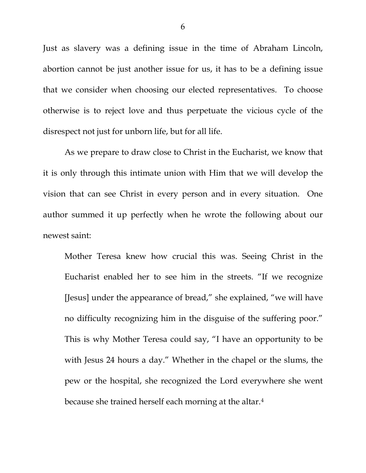Just as slavery was a defining issue in the time of Abraham Lincoln, abortion cannot be just another issue for us, it has to be a defining issue that we consider when choosing our elected representatives. To choose otherwise is to reject love and thus perpetuate the vicious cycle of the disrespect not just for unborn life, but for all life.

As we prepare to draw close to Christ in the Eucharist, we know that it is only through this intimate union with Him that we will develop the vision that can see Christ in every person and in every situation. One author summed it up perfectly when he wrote the following about our newest saint:

Mother Teresa knew how crucial this was. Seeing Christ in the Eucharist enabled her to see him in the streets. "If we recognize [Jesus] under the appearance of bread," she explained, "we will have no difficulty recognizing him in the disguise of the suffering poor." This is why Mother Teresa could say, "I have an opportunity to be with Jesus 24 hours a day." Whether in the chapel or the slums, the pew or the hospital, she recognized the Lord everywhere she went because she trained herself each morning at the altar.[4](#page-6-3)